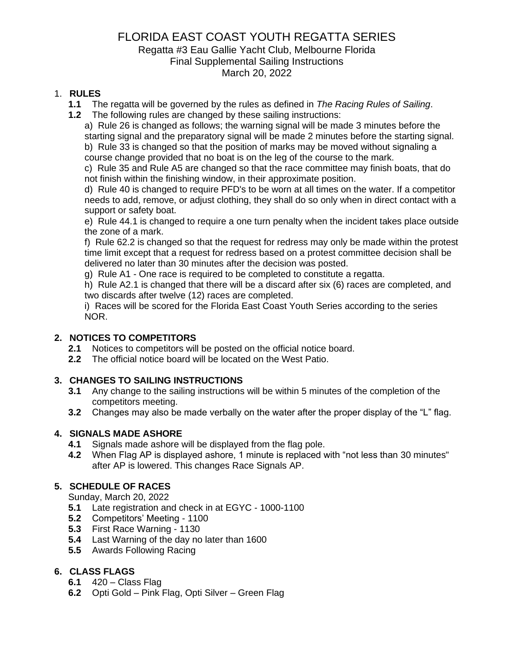### FLORIDA EAST COAST YOUTH REGATTA SERIES

#### Regatta #3 Eau Gallie Yacht Club, Melbourne Florida Final Supplemental Sailing Instructions March 20, 2022

#### 1. **RULES**

- **1.1** The regatta will be governed by the rules as defined in *The Racing Rules of Sailing*.
- **1.2** The following rules are changed by these sailing instructions:

a) Rule 26 is changed as follows; the warning signal will be made 3 minutes before the starting signal and the preparatory signal will be made 2 minutes before the starting signal. b) Rule 33 is changed so that the position of marks may be moved without signaling a course change provided that no boat is on the leg of the course to the mark.

c) Rule 35 and Rule A5 are changed so that the race committee may finish boats, that do not finish within the finishing window, in their approximate position.

d) Rule 40 is changed to require PFD's to be worn at all times on the water. If a competitor needs to add, remove, or adjust clothing, they shall do so only when in direct contact with a support or safety boat.

e) Rule 44.1 is changed to require a one turn penalty when the incident takes place outside the zone of a mark.

f) Rule 62.2 is changed so that the request for redress may only be made within the protest time limit except that a request for redress based on a protest committee decision shall be delivered no later than 30 minutes after the decision was posted.

g) Rule A1 - One race is required to be completed to constitute a regatta.

h) Rule A2.1 is changed that there will be a discard after six (6) races are completed, and two discards after twelve (12) races are completed.

i) Races will be scored for the Florida East Coast Youth Series according to the series NOR.

#### **2. NOTICES TO COMPETITORS**

- **2.1** Notices to competitors will be posted on the official notice board.
- **2.2** The official notice board will be located on the West Patio.

#### **3. CHANGES TO SAILING INSTRUCTIONS**

- **3.1** Any change to the sailing instructions will be within 5 minutes of the completion of the competitors meeting.
- **3.2** Changes may also be made verbally on the water after the proper display of the "L" flag.

#### **4. SIGNALS MADE ASHORE**

- **4.1** Signals made ashore will be displayed from the flag pole.
- **4.2** When Flag AP is displayed ashore, 1 minute is replaced with "not less than 30 minutes" after AP is lowered. This changes Race Signals AP.

#### **5. SCHEDULE OF RACES**

Sunday, March 20, 2022

- **5.1** Late registration and check in at EGYC 1000-1100
- **5.2** Competitors' Meeting 1100
- **5.3** First Race Warning 1130
- **5.4** Last Warning of the day no later than 1600
- **5.5** Awards Following Racing

#### **6. CLASS FLAGS**

- **6.1** 420 Class Flag
- **6.2** Opti Gold Pink Flag, Opti Silver Green Flag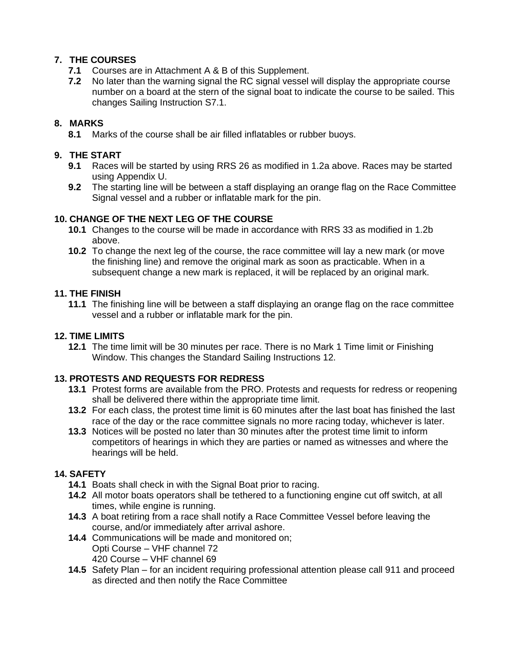#### **7. THE COURSES**

- **7.1** Courses are in Attachment A & B of this Supplement.
- **7.2** No later than the warning signal the RC signal vessel will display the appropriate course number on a board at the stern of the signal boat to indicate the course to be sailed. This changes Sailing Instruction S7.1.

#### **8. MARKS**

**8.1** Marks of the course shall be air filled inflatables or rubber buoys.

#### **9. THE START**

- **9.1** Races will be started by using RRS 26 as modified in 1.2a above. Races may be started using Appendix U.
- **9.2** The starting line will be between a staff displaying an orange flag on the Race Committee Signal vessel and a rubber or inflatable mark for the pin.

#### **10. CHANGE OF THE NEXT LEG OF THE COURSE**

- **10.1** Changes to the course will be made in accordance with RRS 33 as modified in 1.2b above.
- **10.2** To change the next leg of the course, the race committee will lay a new mark (or move the finishing line) and remove the original mark as soon as practicable. When in a subsequent change a new mark is replaced, it will be replaced by an original mark.

#### **11. THE FINISH**

**11.1** The finishing line will be between a staff displaying an orange flag on the race committee vessel and a rubber or inflatable mark for the pin.

#### **12. TIME LIMITS**

**12.1** The time limit will be 30 minutes per race. There is no Mark 1 Time limit or Finishing Window. This changes the Standard Sailing Instructions 12.

#### **13. PROTESTS AND REQUESTS FOR REDRESS**

- **13.1** Protest forms are available from the PRO. Protests and requests for redress or reopening shall be delivered there within the appropriate time limit.
- **13.2** For each class, the protest time limit is 60 minutes after the last boat has finished the last race of the day or the race committee signals no more racing today, whichever is later.
- **13.3** Notices will be posted no later than 30 minutes after the protest time limit to inform competitors of hearings in which they are parties or named as witnesses and where the hearings will be held.

#### **14. SAFETY**

- **14.1** Boats shall check in with the Signal Boat prior to racing.
- **14.2** All motor boats operators shall be tethered to a functioning engine cut off switch, at all times, while engine is running.
- **14.3** A boat retiring from a race shall notify a Race Committee Vessel before leaving the course, and/or immediately after arrival ashore.
- **14.4** Communications will be made and monitored on; Opti Course – VHF channel 72 420 Course – VHF channel 69
- **14.5** Safety Plan for an incident requiring professional attention please call 911 and proceed as directed and then notify the Race Committee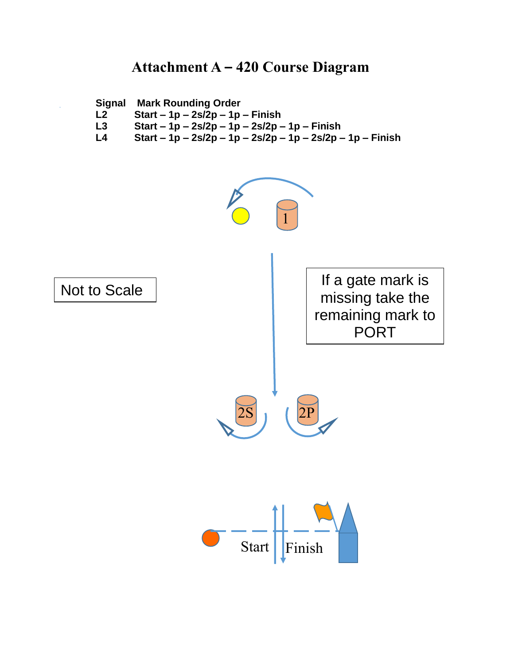## **Attachment A – 420 Course Diagram**



- **L2 Start – 1p – 2s/2p – 1p – Finish**
- **L3 Start – 1p – 2s/2p – 1p – 2s/2p – 1p – Finish**
- **L4 Start – 1p – 2s/2p – 1p – 2s/2p – 1p – 2s/2p – 1p – Finish**